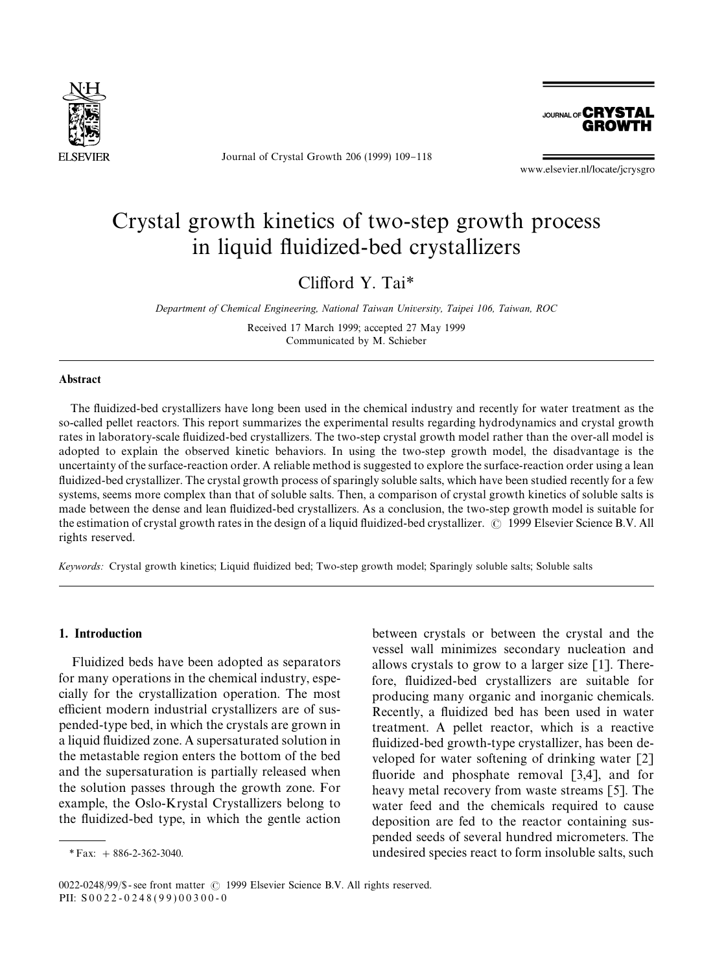

Journal of Crystal Growth 206 (1999) 109-118

**JOURNAL OF CRYSTAL GROWTH** 

www.elsevier.nl/locate/jcrysgro

# Crystal growth kinetics of two-step growth process in liquid fluidized-bed crystallizers

Clifford Y. Tai<sup>\*</sup>

*Department of Chemical Engineering, National Taiwan University, Taipei 106, Taiwan, ROC*

Received 17 March 1999; accepted 27 May 1999 Communicated by M. Schieber

#### Abstract

The fluidized-bed crystallizers have long been used in the chemical industry and recently for water treatment as the so-called pellet reactors. This report summarizes the experimental results regarding hydrodynamics and crystal growth rates in laboratory-scale fluidized-bed crystallizers. The two-step crystal growth model rather than the over-all model is adopted to explain the observed kinetic behaviors. In using the two-step growth model, the disadvantage is the uncertainty of the surface-reaction order. A reliable method is suggested to explore the surface-reaction order using a lean fluidized-bed crystallizer. The crystal growth process of sparingly soluble salts, which have been studied recently for a few systems, seems more complex than that of soluble salts. Then, a comparison of crystal growth kinetics of soluble salts is made between the dense and lean fluidized-bed crystallizers. As a conclusion, the two-step growth model is suitable for the estimation of crystal growth rates in the design of a liquid fluidized-bed crystallizer.  $\odot$  1999 Elsevier Science B.V. All rights reserved.

Keywords: Crystal growth kinetics; Liquid fluidized bed; Two-step growth model; Sparingly soluble salts; Soluble salts

### 1. Introduction

Fluidized beds have been adopted as separators for many operations in the chemical industry, especially for the crystallization operation. The most efficient modern industrial crystallizers are of suspended-type bed, in which the crystals are grown in a liquid fluidized zone. A supersaturated solution in the metastable region enters the bottom of the bed and the supersaturation is partially released when the solution passes through the growth zone. For example, the Oslo-Krystal Crystallizers belong to the fluidized-bed type, in which the gentle action between crystals or between the crystal and the vessel wall minimizes secondary nucleation and allows crystals to grow to a larger size [1]. Therefore, fluidized-bed crystallizers are suitable for producing many organic and inorganic chemicals. Recently, a fluidized bed has been used in water treatment. A pellet reactor, which is a reactive fluidized-bed growth-type crystallizer, has been developed for water softening of drinking water [2] fluoride and phosphate removal  $[3,4]$ , and for heavy metal recovery from waste streams [5]. The water feed and the chemicals required to cause deposition are fed to the reactor containing suspended seeds of several hundred micrometers. The undesired species react to form insoluble salts, such

*<sup>\*</sup>*Fax: #886-2-362-3040.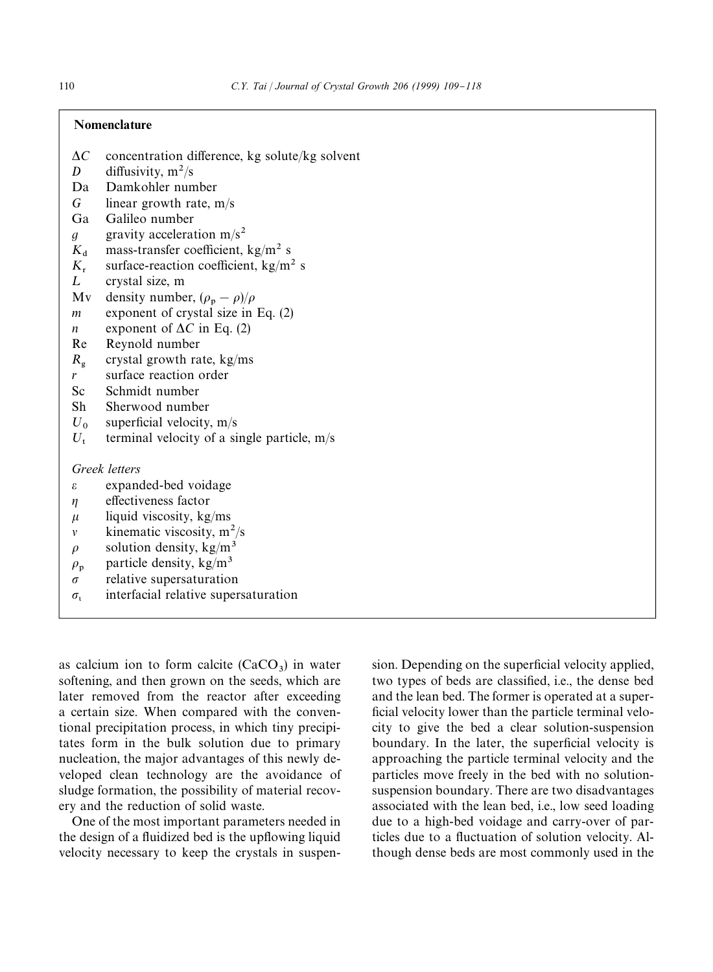# Nomenclature

- $\Delta C$  concentration difference, kg solute/kg solvent *D* diffusivity.  $m^2/s$
- *D* diffusivity,  $m^2/s$ <br>Da Damkohler nun
- Damkohler number
- *G* linear growth rate, m/s
- Ga Galileo number
- *g* gravity acceleration  $m/s^2$
- $K_d$  mass-transfer coefficient, kg/m<sup>2</sup> s<br> $K_r$  surface-reaction coefficient, kg/m<sup>2</sup>
- $K_r$  surface-reaction coefficient, kg/m<sup>2</sup> s<br>*L* crystal size. m
- crystal size, m
- Mv density number,  $(\rho_p \rho)/\rho$
- *m* exponent of crystal size in Eq. (2)
- *n* exponent of  $\Delta C$  in Eq. (2)
- Re Reynold number
- $R_{\sigma}$ crystal growth rate, kg/ms
- *r* surface reaction order
- Sc Schmidt number
- Sh Sherwood number
- $U_0$  superficial velocity, m/s<br> $U_t$  terminal velocity of a si
- terminal velocity of a single particle,  $m/s$

# *Greek letters*

- $\epsilon$  expanded-bed voidage
- $\eta$  effectiveness factor
- $\mu$  liquid viscosity, kg/ms
- $\nu$  kinematic viscosity, m<sup>2</sup>/s
- $\rho$  solution density, kg/m<sup>3</sup>
- $\rho_{\rm p}$  $\rho_p$  particle density, kg/m<sup>3</sup><br>
relative supersaturation
- relative supersaturation
- $\sigma_{\iota}$  interfacial relative supersaturation

as calcium ion to form calcite  $(CaCO<sub>3</sub>)$  in water softening, and then grown on the seeds, which are later removed from the reactor after exceeding a certain size. When compared with the conventional precipitation process, in which tiny precipitates form in the bulk solution due to primary nucleation, the major advantages of this newly developed clean technology are the avoidance of sludge formation, the possibility of material recovery and the reduction of solid waste.

One of the most important parameters needed in the design of a fluidized bed is the upflowing liquid velocity necessary to keep the crystals in suspen-

sion. Depending on the superficial velocity applied, two types of beds are classified, i.e., the dense bed and the lean bed. The former is operated at a super ficial velocity lower than the particle terminal velocity to give the bed a clear solution-suspension boundary. In the later, the superficial velocity is approaching the particle terminal velocity and the particles move freely in the bed with no solutionsuspension boundary. There are two disadvantages associated with the lean bed, i.e., low seed loading due to a high-bed voidage and carry-over of particles due to a fluctuation of solution velocity. Although dense beds are most commonly used in the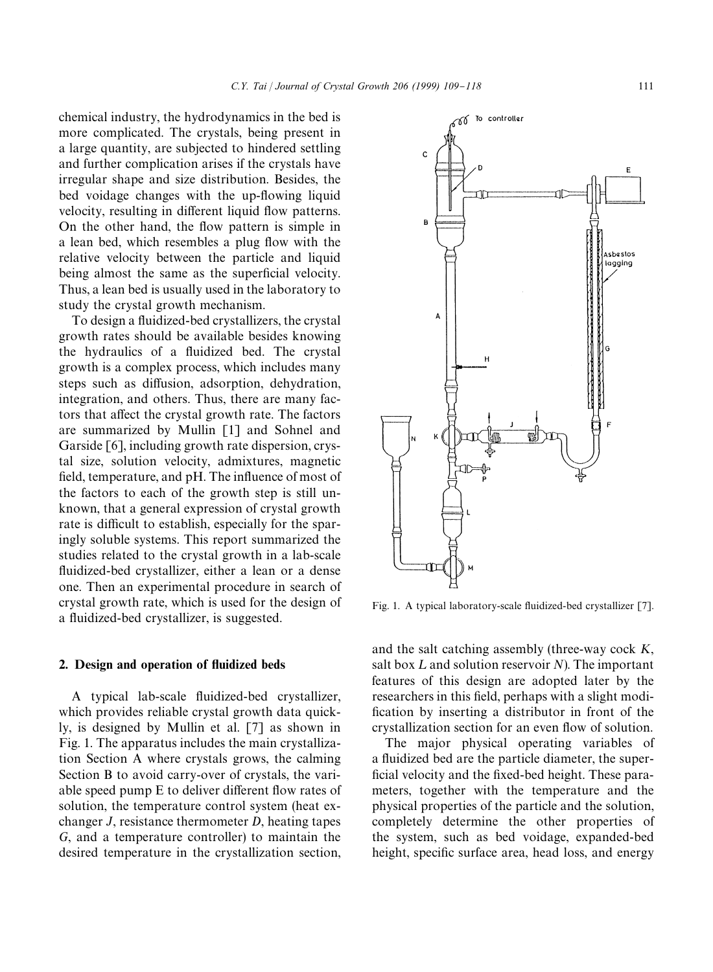chemical industry, the hydrodynamics in the bed is more complicated. The crystals, being present in a large quantity, are subjected to hindered settling and further complication arises if the crystals have irregular shape and size distribution. Besides, the bed voidage changes with the up-flowing liquid velocity, resulting in different liquid flow patterns. On the other hand, the flow pattern is simple in a lean bed, which resembles a plug flow with the relative velocity between the particle and liquid being almost the same as the superficial velocity. Thus, a lean bed is usually used in the laboratory to study the crystal growth mechanism.

To design a fluidized-bed crystallizers, the crystal growth rates should be available besides knowing the hydraulics of a fluidized bed. The crystal growth is a complex process, which includes many steps such as diffusion, adsorption, dehydration, integration, and others. Thus, there are many factors that affect the crystal growth rate. The factors are summarized by Mullin [1] and Sohnel and Garside [6], including growth rate dispersion, crystal size, solution velocity, admixtures, magnetic field, temperature, and pH. The influence of most of the factors to each of the growth step is still unknown, that a general expression of crystal growth rate is difficult to establish, especially for the sparingly soluble systems. This report summarized the studies related to the crystal growth in a lab-scale fluidized-bed crystallizer, either a lean or a dense one. Then an experimental procedure in search of crystal growth rate, which is used for the design of a fluidized-bed crystallizer, is suggested.

### 2. Design and operation of fluidized beds

A typical lab-scale fluidized-bed crystallizer, which provides reliable crystal growth data quickly, is designed by Mullin et al. [7] as shown in Fig. 1. The apparatus includes the main crystallization Section A where crystals grows, the calming Section B to avoid carry-over of crystals, the variable speed pump E to deliver different flow rates of solution, the temperature control system (heat exchanger *J*, resistance thermometer *D*, heating tapes *G*, and a temperature controller) to maintain the desired temperature in the crystallization section,

 $\mathbf c$  $\overline{B}$ Asbestos lagging A  $\mathbf{H}$  $\kappa$ 

To controller

ro

Fig. 1. A typical laboratory-scale fluidized-bed crystallizer [7].

and the salt catching assembly (three-way cock *K*, salt box  $L$  and solution reservoir  $N$ ). The important features of this design are adopted later by the researchers in this field, perhaps with a slight modification by inserting a distributor in front of the crystallization section for an even flow of solution.

The major physical operating variables of a fluidized bed are the particle diameter, the superficial velocity and the fixed-bed height. These parameters, together with the temperature and the physical properties of the particle and the solution, completely determine the other properties of the system, such as bed voidage, expanded-bed height, specific surface area, head loss, and energy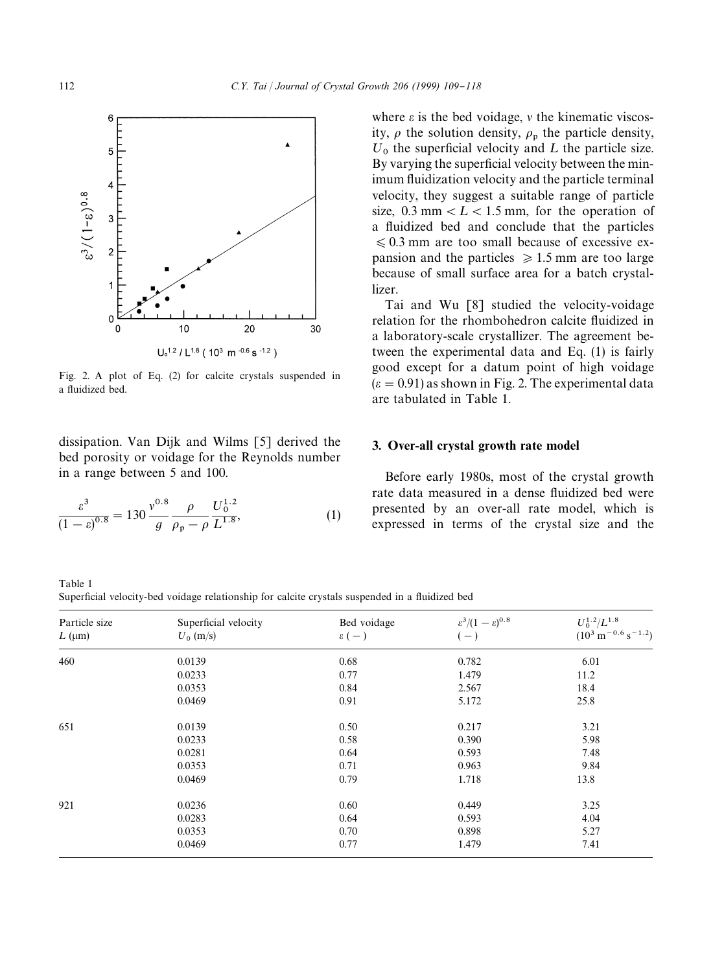

Fig. 2. A plot of Eq. (2) for calcite crystals suspended in a fluidized bed.

dissipation. Van Dijk and Wilms [5] derived the bed porosity or voidage for the Reynolds number in a range between 5 and 100.

$$
\frac{\varepsilon^3}{(1-\varepsilon)^{0.8}} = 130 \frac{v^{0.8}}{g} \frac{\rho}{\rho_p - \rho} \frac{U_0^{1.2}}{L^{1.8}},\tag{1}
$$

where  $\varepsilon$  is the bed voidage,  $\nu$  the kinematic viscosity,  $\rho$  the solution density,  $\rho_p$  the particle density,  $U_0$  the superficial velocity and  $L$  the particle size. By varying the superficial velocity between the minimum fluidization velocity and the particle terminal velocity, they suggest a suitable range of particle size,  $0.3$  mm  $\lt L \lt 1.5$  mm, for the operation of a fluidized bed and conclude that the particles  $\leq 0.3$  mm are too small because of excessive expansion and the particles  $\geq 1.5$  mm are too large because of small surface area for a batch crystallizer.

Tai and Wu [8] studied the velocity-voidage relation for the rhombohedron calcite fluidized in a laboratory-scale crystallizer. The agreement between the experimental data and Eq. (1) is fairly good except for a datum point of high voidage  $(\epsilon = 0.91)$  as shown in Fig. 2. The experimental data are tabulated in Table 1.

## 3. Over-all crystal growth rate model

Before early 1980s, most of the crystal growth rate data measured in a dense fluidized bed were presented by an over-all rate model, which is expressed in terms of the crystal size and the

| Particle size<br>$L$ ( $\mu$ m) | Superficial velocity<br>$U_0$ (m/s) | Bed voidage<br>$\epsilon$ ( – ) | $\varepsilon^3/(1-\varepsilon)^{0.8}$<br>$(-)$ | $U_0^{1.2}/L^{1.8}$<br>$(10^3 \text{ m}^{-0.6} \text{ s}^{-1.2})$ |
|---------------------------------|-------------------------------------|---------------------------------|------------------------------------------------|-------------------------------------------------------------------|
| 460                             | 0.0139                              | 0.68                            | 0.782                                          | 6.01                                                              |
|                                 | 0.0233                              | 0.77                            | 1.479                                          | 11.2                                                              |
|                                 | 0.0353                              | 0.84                            | 2.567                                          | 18.4                                                              |
|                                 | 0.0469                              | 0.91                            | 5.172                                          | 25.8                                                              |
| 651                             | 0.0139                              | 0.50                            | 0.217                                          | 3.21                                                              |
|                                 | 0.0233                              | 0.58                            | 0.390                                          | 5.98                                                              |
|                                 | 0.0281                              | 0.64                            | 0.593                                          | 7.48                                                              |
|                                 | 0.0353                              | 0.71                            | 0.963                                          | 9.84                                                              |
|                                 | 0.0469                              | 0.79                            | 1.718                                          | 13.8                                                              |
| 921                             | 0.0236                              | 0.60                            | 0.449                                          | 3.25                                                              |
|                                 | 0.0283                              | 0.64                            | 0.593                                          | 4.04                                                              |
|                                 | 0.0353                              | 0.70                            | 0.898                                          | 5.27                                                              |
|                                 | 0.0469                              | 0.77                            | 1.479                                          | 7.41                                                              |

Table 1 Superficial velocity-bed voidage relationship for calcite crystals suspended in a fluidized bed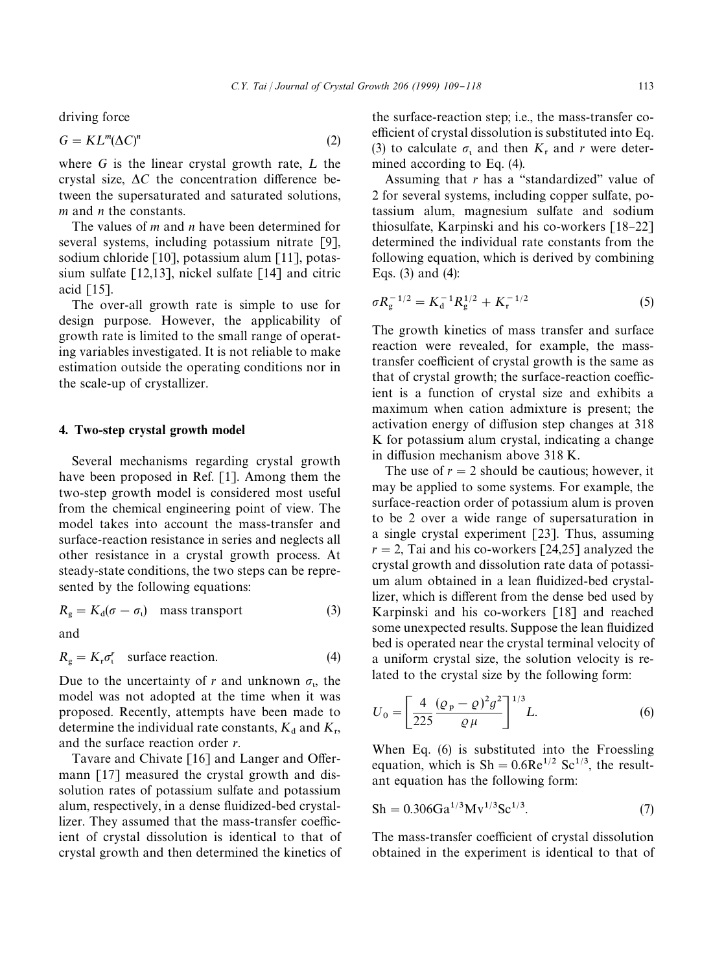driving force

$$
G = KL^{m}(\Delta C)^{n}
$$
 (2)

where  $G$  is the linear crystal growth rate,  $L$  the crystal size,  $\Delta C$  the concentration difference between the supersaturated and saturated solutions, *m* and *n* the constants.

The values of *m* and *n* have been determined for several systems, including potassium nitrate [9], sodium chloride [10], potassium alum [11], potassium sulfate  $\lceil 12,13 \rceil$ , nickel sulfate  $\lceil 14 \rceil$  and citric acid  $[15]$ .

The over-all growth rate is simple to use for design purpose. However, the applicability of growth rate is limited to the small range of operating variables investigated. It is not reliable to make estimation outside the operating conditions nor in the scale-up of crystallizer.

# 4. Two-step crystal growth model

Several mechanisms regarding crystal growth have been proposed in Ref. [1]. Among them the two-step growth model is considered most useful from the chemical engineering point of view. The model takes into account the mass-transfer and surface-reaction resistance in series and neglects all other resistance in a crystal growth process. At steady-state conditions, the two steps can be represented by the following equations:

$$
R_{\rm g} = K_{\rm d}(\sigma - \sigma_{\rm t}) \quad \text{mass transport} \tag{3}
$$

and

$$
R_{g} = K_{r} \sigma_{t}^{r} \quad \text{surface reaction.} \tag{4}
$$

Due to the uncertainty of *r* and unknown  $\sigma_{1}$ , the model was not adopted at the time when it was proposed. Recently, attempts have been made to determine the individual rate constants,  $K_d$  and  $K_r$ , and the surface reaction order *r*.

Tavare and Chivate  $\lceil 16 \rceil$  and Langer and Offermann [17] measured the crystal growth and dissolution rates of potassium sulfate and potassium alum, respectively, in a dense fluidized-bed crystallizer. They assumed that the mass-transfer coefficient of crystal dissolution is identical to that of crystal growth and then determined the kinetics of

the surface-reaction step; i.e., the mass-transfer coefficient of crystal dissolution is substituted into Eq. (3) to calculate  $\sigma_1$  and then  $K_r$  and *r* were determined according to Eq. (4).

Assuming that  $r$  has a "standardized" value of 2 for several systems, including copper sulfate, potassium alum, magnesium sulfate and sodium thiosulfate. Karpinski and his co-workers  $[18-22]$ determined the individual rate constants from the following equation, which is derived by combining Eqs. (3) and (4):

$$
\sigma R_{\rm g}^{-1/2} = K_{\rm d}^{-1} R_{\rm g}^{1/2} + K_{\rm r}^{-1/2} \tag{5}
$$

The growth kinetics of mass transfer and surface reaction were revealed, for example, the masstransfer coefficient of crystal growth is the same as that of crystal growth; the surface-reaction coefficient is a function of crystal size and exhibits a maximum when cation admixture is present; the activation energy of diffusion step changes at 318 K for potassium alum crystal, indicating a change in diffusion mechanism above  $318$  K.

The use of  $r = 2$  should be cautious; however, it may be applied to some systems. For example, the surface-reaction order of potassium alum is proven to be 2 over a wide range of supersaturation in a single crystal experiment [23]. Thus, assuming  $r = 2$ , Tai and his co-workers [24,25] analyzed the crystal growth and dissolution rate data of potassium alum obtained in a lean fluidized-bed crystallizer, which is different from the dense bed used by Karpinski and his co-workers [18] and reached some unexpected results. Suppose the lean fluidized bed is operated near the crystal terminal velocity of a uniform crystal size, the solution velocity is related to the crystal size by the following form:

$$
U_0 = \left[\frac{4}{225} \frac{(\rho_p - \rho)^2 g^2}{\rho \mu}\right]^{1/3} L.
$$
 (6)

When Eq. (6) is substituted into the Froessling equation, which is  $\text{Sh} = 0.6 \text{Re}^{1/2} \text{Sc}^{1/3}$ , the resultant equation has the following form:

$$
Sh = 0.306 Ga^{1/3}Mv^{1/3}Sc^{1/3}.
$$
 (7)

The mass-transfer coefficient of crystal dissolution obtained in the experiment is identical to that of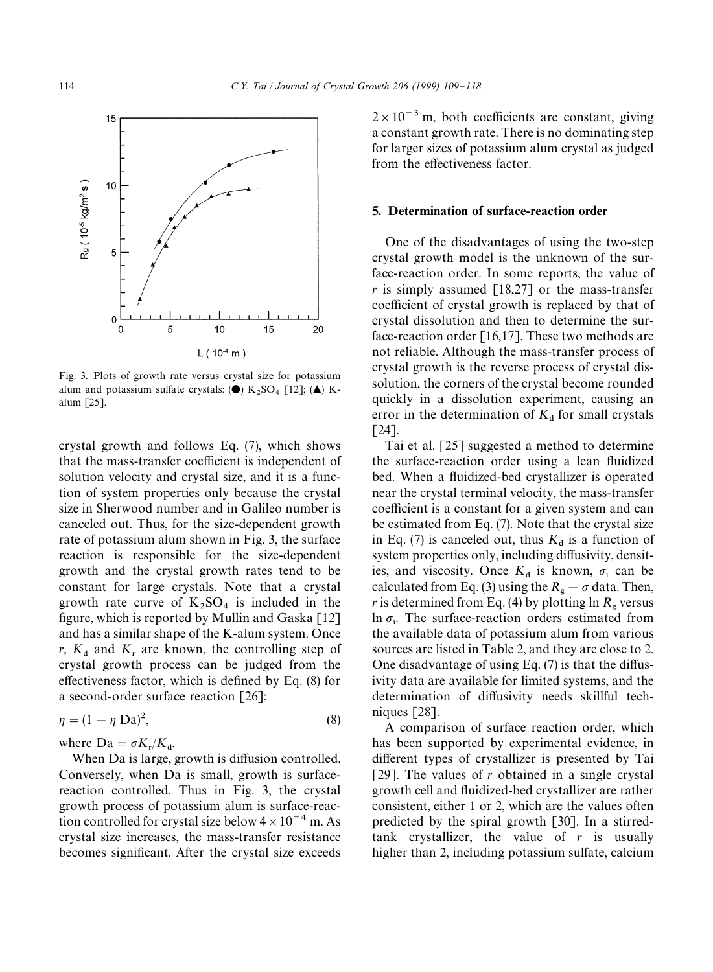

Fig. 3. Plots of growth rate versus crystal size for potassium alum and potassium sulfate crystals:  $(\bullet)$  K<sub>2</sub>SO<sub>4</sub> [12];  $(\bullet)$  Kalum [25].

crystal growth and follows Eq. (7), which shows that the mass-transfer coefficient is independent of solution velocity and crystal size, and it is a function of system properties only because the crystal size in Sherwood number and in Galileo number is canceled out. Thus, for the size-dependent growth rate of potassium alum shown in Fig. 3, the surface reaction is responsible for the size-dependent growth and the crystal growth rates tend to be constant for large crystals. Note that a crystal growth rate curve of  $K_2SO_4$  is included in the figure, which is reported by Mullin and Gaska  $\lceil 12 \rceil$ and has a similar shape of the K-alum system. Once  $r$ ,  $K_d$  and  $K_t$  are known, the controlling step of crystal growth process can be judged from the effectiveness factor, which is defined by Eq.  $(8)$  for a second-order surface reaction [26]:

$$
\eta = (1 - \eta \text{ Da})^2,\tag{8}
$$

where  $Da = \sigma K_r/K_d$ .

When Da is large, growth is diffusion controlled. Conversely, when Da is small, growth is surfacereaction controlled. Thus in Fig. 3, the crystal growth process of potassium alum is surface-reaction controlled for crystal size below  $4 \times 10^{-4}$  m. As crystal size increases, the mass-transfer resistance becomes significant. After the crystal size exceeds  $2 \times 10^{-3}$  m, both coefficients are constant, giving a constant growth rate. There is no dominating step for larger sizes of potassium alum crystal as judged from the effectiveness factor.

## 5. Determination of surface-reaction order

One of the disadvantages of using the two-step crystal growth model is the unknown of the surface-reaction order. In some reports, the value of  $r$  is simply assumed  $\lceil 18,27 \rceil$  or the mass-transfer coefficient of crystal growth is replaced by that of crystal dissolution and then to determine the surface-reaction order [16,17]. These two methods are not reliable. Although the mass-transfer process of crystal growth is the reverse process of crystal dissolution, the corners of the crystal become rounded quickly in a dissolution experiment, causing an error in the determination of  $K_d$  for small crystals [24].

Tai et al. [25] suggested a method to determine the surface-reaction order using a lean fluidized bed. When a fluidized-bed crystallizer is operated near the crystal terminal velocity, the mass-transfer coefficient is a constant for a given system and can be estimated from Eq. (7). Note that the crystal size in Eq. (7) is canceled out, thus  $K_d$  is a function of system properties only, including diffusivity, densities, and viscosity. Once  $K_d$  is known,  $\sigma_l$  can be calculated from Eq. (3) using the  $R_{\rm g} - \sigma$  data. Then, *r* is determined from Eq. (4) by plotting  $\ln R_{\rm g}$  versus ln  $\sigma_{\nu}$ . The surface-reaction orders estimated from the available data of potassium alum from various sources are listed in Table 2, and they are close to 2. One disadvantage of using Eq.  $(7)$  is that the diffusivity data are available for limited systems, and the determination of diffusivity needs skillful techniques [28].

A comparison of surface reaction order, which has been supported by experimental evidence, in different types of crystallizer is presented by Tai [29]. The values of  $r$  obtained in a single crystal growth cell and fluidized-bed crystallizer are rather consistent, either 1 or 2, which are the values often predicted by the spiral growth [30]. In a stirredtank crystallizer, the value of *r* is usually higher than 2, including potassium sulfate, calcium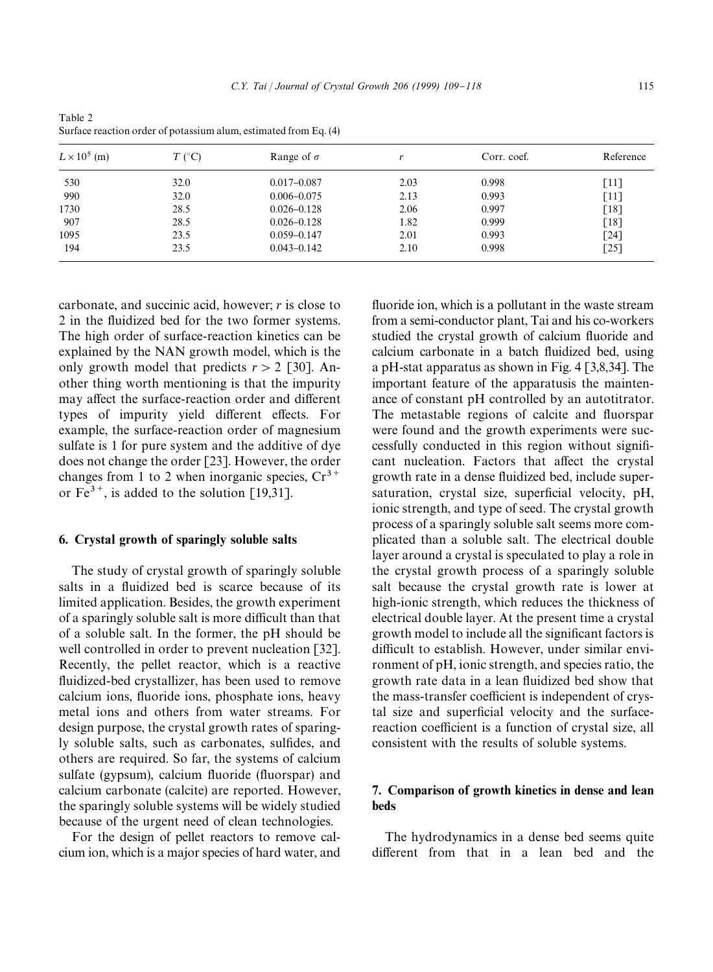Table 2 Surface reaction order of potassium alum, estimated from Eq. (4)

| $L \times 10^5$ (m) | $T$ (°C) | Range of $\sigma$ |      | Corr. coef. | Reference          |
|---------------------|----------|-------------------|------|-------------|--------------------|
| 530                 | 32.0     | $0.017 - 0.087$   | 2.03 | 0.998       | -111               |
| 990                 | 32.0     | $0.006 - 0.075$   | 2.13 | 0.993       | [11]               |
| 1730                | 28.5     | $0.026 - 0.128$   | 2.06 | 0.997       | $\lceil 18 \rceil$ |
| 907                 | 28.5     | $0.026 - 0.128$   | 1.82 | 0.999       | $\lceil 18 \rceil$ |
| 1095                | 23.5     | $0.059 - 0.147$   | 2.01 | 0.993       | [24]               |
| 194                 | 23.5     | $0.043 - 0.142$   | 2.10 | 0.998       | $\lceil 25 \rceil$ |

carbonate, and succinic acid, however; *r* is close to 2 in the fluidized bed for the two former systems. The high order of surface-reaction kinetics can be explained by the NAN growth model, which is the only growth model that predicts  $r > 2$  [30]. Another thing worth mentioning is that the impurity may affect the surface-reaction order and different types of impurity yield different effects. For example, the surface-reaction order of magnesium sulfate is 1 for pure system and the additive of dye does not change the order [23]. However, the order changes from 1 to 2 when inorganic species,  $Cr^{3+}$ or  $Fe^{3+}$ , is added to the solution [19,31].

#### 6. Crystal growth of sparingly soluble salts

The study of crystal growth of sparingly soluble salts in a fluidized bed is scarce because of its limited application. Besides, the growth experiment of a sparingly soluble salt is more difficult than that of a soluble salt. In the former, the pH should be well controlled in order to prevent nucleation [32]. Recently, the pellet reactor, which is a reactive fluidized-bed crystallizer, has been used to remove calcium ions, fluoride ions, phosphate ions, heavy metal ions and others from water streams. For design purpose, the crystal growth rates of sparingly soluble salts, such as carbonates, sulfides, and others are required. So far, the systems of calcium sulfate (gypsum), calcium fluoride (fluorspar) and calcium carbonate (calcite) are reported. However, the sparingly soluble systems will be widely studied because of the urgent need of clean technologies.

For the design of pellet reactors to remove calcium ion, which is a major species of hard water, and

fluoride ion, which is a pollutant in the waste stream from a semi-conductor plant, Tai and his co-workers studied the crystal growth of calcium fluoride and calcium carbonate in a batch fluidized bed, using a pH-stat apparatus as shown in Fig. 4 [3,8,34]. The important feature of the apparatusis the maintenance of constant pH controlled by an autotitrator. The metastable regions of calcite and fluorspar were found and the growth experiments were successfully conducted in this region without significant nucleation. Factors that affect the crystal growth rate in a dense fluidized bed, include supersaturation, crystal size, superficial velocity, pH, ionic strength, and type of seed. The crystal growth process of a sparingly soluble salt seems more complicated than a soluble salt. The electrical double layer around a crystal is speculated to play a role in the crystal growth process of a sparingly soluble salt because the crystal growth rate is lower at high-ionic strength, which reduces the thickness of electrical double layer. At the present time a crystal growth model to include all the significant factors is difficult to establish. However, under similar environment of pH, ionic strength, and species ratio, the growth rate data in a lean fluidized bed show that the mass-transfer coefficient is independent of crystal size and superficial velocity and the surfacereaction coefficient is a function of crystal size, all consistent with the results of soluble systems.

# 7. Comparison of growth kinetics in dense and lean beds

The hydrodynamics in a dense bed seems quite different from that in a lean bed and the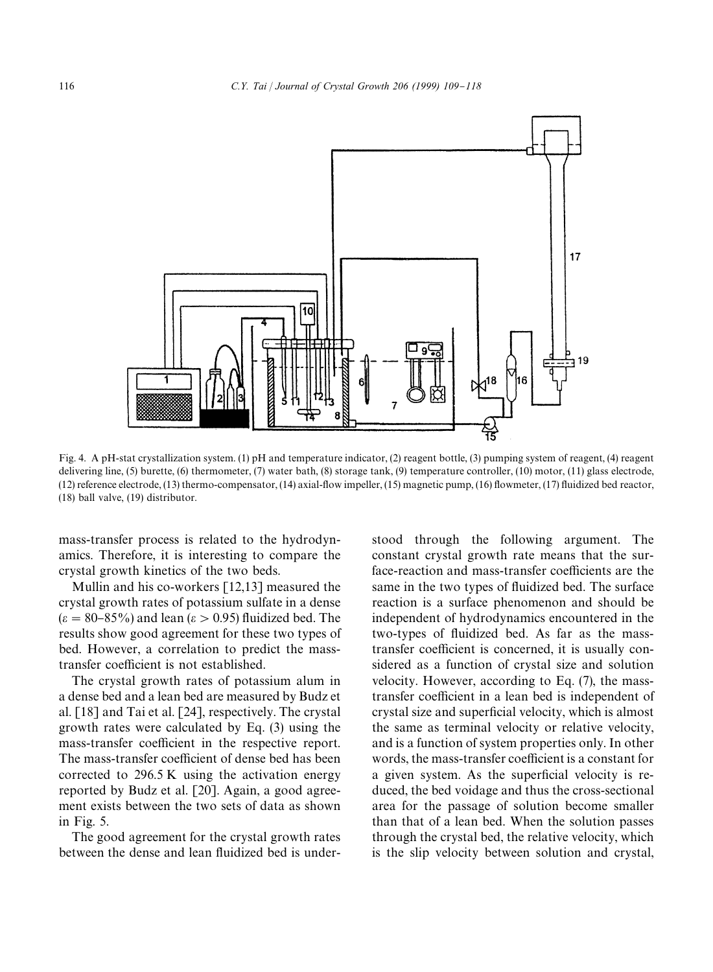

Fig. 4. A pH-stat crystallization system. (1) pH and temperature indicator, (2) reagent bottle, (3) pumping system of reagent, (4) reagent delivering line, (5) burette, (6) thermometer, (7) water bath, (8) storage tank, (9) temperature controller, (10) motor, (11) glass electrode,  $(12)$  reference electrode,  $(13)$  thermo-compensator,  $(14)$  axial-flow impeller,  $(15)$  magnetic pump,  $(16)$  flowmeter,  $(17)$  fluidized bed reactor, (18) ball valve, (19) distributor.

mass-transfer process is related to the hydrodynamics. Therefore, it is interesting to compare the crystal growth kinetics of the two beds.

Mullin and his co-workers [12,13] measured the crystal growth rates of potassium sulfate in a dense  $(\varepsilon = 80 - 85\%)$  and lean ( $\varepsilon > 0.95$ ) fluidized bed. The results show good agreement for these two types of bed. However, a correlation to predict the masstransfer coefficient is not established.

The crystal growth rates of potassium alum in a dense bed and a lean bed are measured by Budz et al. [18] and Tai et al. [24], respectively. The crystal growth rates were calculated by Eq. (3) using the mass-transfer coefficient in the respective report. The mass-transfer coefficient of dense bed has been corrected to 296.5 K using the activation energy reported by Budz et al. [20]. Again, a good agreement exists between the two sets of data as shown in Fig. 5.

The good agreement for the crystal growth rates between the dense and lean fluidized bed is understood through the following argument. The constant crystal growth rate means that the surface-reaction and mass-transfer coefficients are the same in the two types of fluidized bed. The surface reaction is a surface phenomenon and should be independent of hydrodynamics encountered in the two-types of fluidized bed. As far as the masstransfer coefficient is concerned, it is usually considered as a function of crystal size and solution velocity. However, according to Eq. (7), the masstransfer coefficient in a lean bed is independent of crystal size and superficial velocity, which is almost the same as terminal velocity or relative velocity, and is a function of system properties only. In other words, the mass-transfer coefficient is a constant for a given system. As the superficial velocity is reduced, the bed voidage and thus the cross-sectional area for the passage of solution become smaller than that of a lean bed. When the solution passes through the crystal bed, the relative velocity, which is the slip velocity between solution and crystal,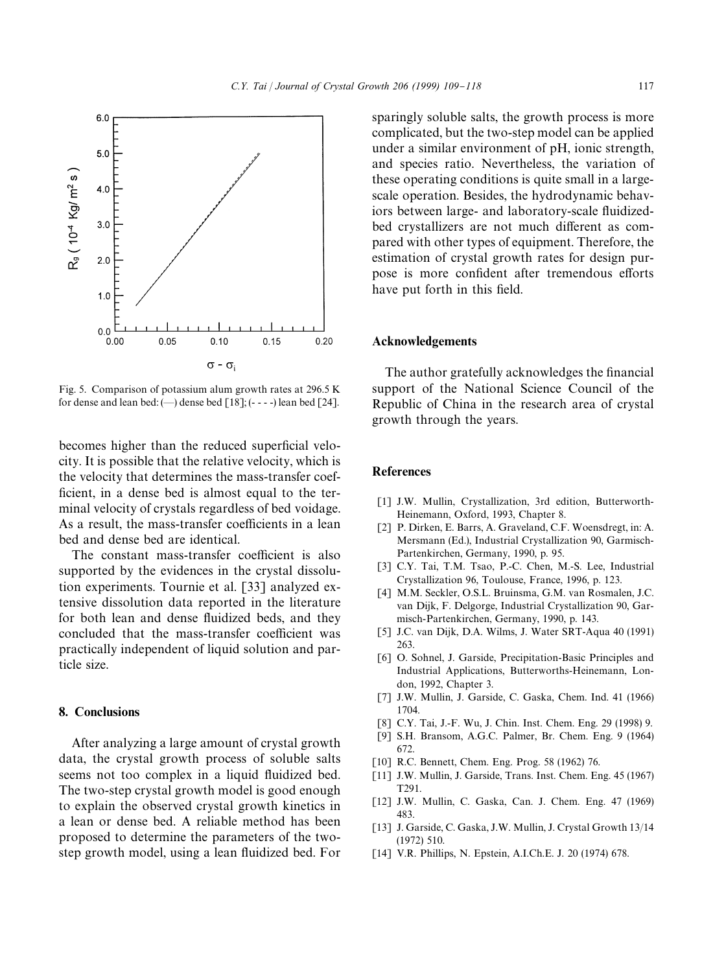

Fig. 5. Comparison of potassium alum growth rates at 296.5 K for dense and lean bed:  $(-)$  dense bed  $[18]$ ;  $(- - -)$  lean bed  $[24]$ .

becomes higher than the reduced superficial velocity. It is possible that the relative velocity, which is the velocity that determines the mass-transfer coef ficient, in a dense bed is almost equal to the terminal velocity of crystals regardless of bed voidage. As a result, the mass-transfer coefficients in a lean bed and dense bed are identical.

The constant mass-transfer coefficient is also supported by the evidences in the crystal dissolution experiments. Tournie et al. [33] analyzed extensive dissolution data reported in the literature for both lean and dense fluidized beds, and they concluded that the mass-transfer coefficient was practically independent of liquid solution and particle size.

## 8. Conclusions

After analyzing a large amount of crystal growth data, the crystal growth process of soluble salts seems not too complex in a liquid fluidized bed. The two-step crystal growth model is good enough to explain the observed crystal growth kinetics in a lean or dense bed. A reliable method has been proposed to determine the parameters of the twostep growth model, using a lean fluidized bed. For sparingly soluble salts, the growth process is more complicated, but the two-step model can be applied under a similar environment of pH, ionic strength, and species ratio. Nevertheless, the variation of these operating conditions is quite small in a largescale operation. Besides, the hydrodynamic behaviors between large- and laboratory-scale fluidizedbed crystallizers are not much different as compared with other types of equipment. Therefore, the estimation of crystal growth rates for design purpose is more confident after tremendous efforts have put forth in this field.

#### Acknowledgements

The author gratefully acknowledges the financial support of the National Science Council of the Republic of China in the research area of crystal growth through the years.

## References

- [1] J.W. Mullin, Crystallization, 3rd edition, Butterworth-Heinemann, Oxford, 1993, Chapter 8.
- [2] P. Dirken, E. Barrs, A. Graveland, C.F. Woensdregt, in: A. Mersmann (Ed.), Industrial Crystallization 90, Garmisch-Partenkirchen, Germany, 1990, p. 95.
- [3] C.Y. Tai, T.M. Tsao, P.-C. Chen, M.-S. Lee, Industrial Crystallization 96, Toulouse, France, 1996, p. 123.
- [4] M.M. Seckler, O.S.L. Bruinsma, G.M. van Rosmalen, J.C. van Dijk, F. Delgorge, Industrial Crystallization 90, Garmisch-Partenkirchen, Germany, 1990, p. 143.
- [5] J.C. van Dijk, D.A. Wilms, J. Water SRT-Aqua 40 (1991) 263.
- [6] O. Sohnel, J. Garside, Precipitation-Basic Principles and Industrial Applications, Butterworths-Heinemann, London, 1992, Chapter 3.
- [7] J.W. Mullin, J. Garside, C. Gaska, Chem. Ind. 41 (1966) 1704.
- [8] C.Y. Tai, J.-F. Wu, J. Chin. Inst. Chem. Eng. 29 (1998) 9.
- [9] S.H. Bransom, A.G.C. Palmer, Br. Chem. Eng. 9 (1964) 672.
- [10] R.C. Bennett, Chem. Eng. Prog. 58 (1962) 76.
- [11] J.W. Mullin, J. Garside, Trans. Inst. Chem. Eng. 45 (1967) T291.
- [12] J.W. Mullin, C. Gaska, Can. J. Chem. Eng. 47 (1969) 483.
- [13] J. Garside, C. Gaska, J.W. Mullin, J. Crystal Growth 13/14 (1972) 510.
- [14] V.R. Phillips, N. Epstein, A.I.Ch.E. J. 20 (1974) 678.